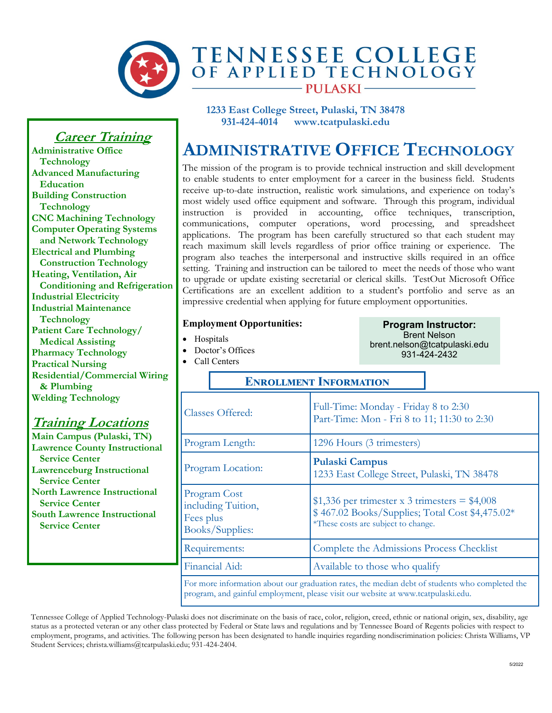

## TENNESSEE COLLEGE<br>OF APPLIED TECHNOLOGY **PULASKI**

**1233 East College Street, Pulaski, TN 38478 931-424-4014 www.tcatpulaski.edu** 

## **ADMINISTRATIVE OFFICE TECHNOLOGY**

The mission of the program is to provide technical instruction and skill development to enable students to enter employment for a career in the business field. Students receive up-to-date instruction, realistic work simulations, and experience on today's most widely used office equipment and software. Through this program, individual instruction is provided in accounting, office techniques, transcription, communications, computer operations, word processing, and spreadsheet applications. The program has been carefully structured so that each student may reach maximum skill levels regardless of prior office training or experience. The program also teaches the interpersonal and instructive skills required in an office setting. Training and instruction can be tailored to meet the needs of those who want to upgrade or update existing secretarial or clerical skills. TestOut Microsoft Office Certifications are an excellent addition to a student's portfolio and serve as an impressive credential when applying for future employment opportunities.

#### **Employment Opportunities:**

- Hospitals
- Doctor's Offices
- Call Centers

**Program Instructor:** Brent Nelson brent.nelson@tcatpulaski.edu 931-424-2432

#### **Enrollment Information**

| <b>Classes Offered:</b>                                                                        | Full-Time: Monday - Friday 8 to 2:30<br>Part-Time: Mon - Fri 8 to 11; 11:30 to 2:30                                                        |  |
|------------------------------------------------------------------------------------------------|--------------------------------------------------------------------------------------------------------------------------------------------|--|
| Program Length:                                                                                | 1296 Hours (3 trimesters)                                                                                                                  |  |
| Program Location:                                                                              | <b>Pulaski Campus</b><br>1233 East College Street, Pulaski, TN 38478                                                                       |  |
| Program Cost<br>including Tuition,<br>Fees plus<br>Books/Supplies:                             | $$1,336$ per trimester x 3 trimesters = $$4,008$<br>\$467.02 Books/Supplies; Total Cost \$4,475.02*<br>*These costs are subject to change. |  |
| Requirements:                                                                                  | Complete the Admissions Process Checklist                                                                                                  |  |
| Financial Aid:                                                                                 | Available to those who qualify                                                                                                             |  |
| For more information about our graduation rates, the median debt of students who completed the |                                                                                                                                            |  |

program, and gainful employment, please visit our website at www.tcatpulaski.edu.

Tennessee College of Applied Technology-Pulaski does not discriminate on the basis of race, color, religion, creed, ethnic or national origin, sex, disability, age status as a protected veteran or any other class protected by Federal or State laws and regulations and by Tennessee Board of Regents policies with respect to employment, programs, and activities. The following person has been designated to handle inquiries regarding nondiscrimination policies: Christa Williams, VP Student Services; christa.williams@tcatpulaski.edu; 931-424-2404.

### **Career Training**

**Administrative Office Technology Advanced Manufacturing Education Building Construction Technology CNC Machining Technology Computer Operating Systems and Network Technology Electrical and Plumbing Construction Technology Heating, Ventilation, Air Conditioning and Refrigeration Industrial Electricity Industrial Maintenance Technology Patient Care Technology/ Medical Assisting Pharmacy Technology Practical Nursing Residential/Commercial Wiring & Plumbing Welding Technology**

#### **Training Locations**

**Main Campus (Pulaski, TN) Lawrence County Instructional Service Center Lawrenceburg Instructional Service Center North Lawrence Instructional Service Center South Lawrence Instructional Service Center**